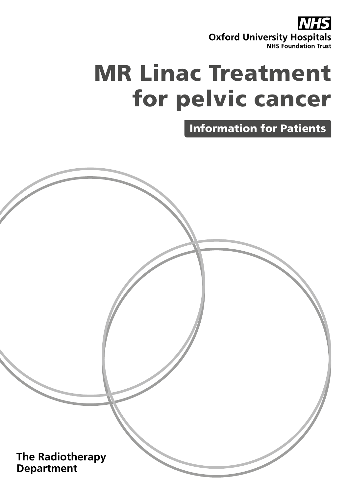

# MR Linac Treatment for pelvic cancer

Information for Patients

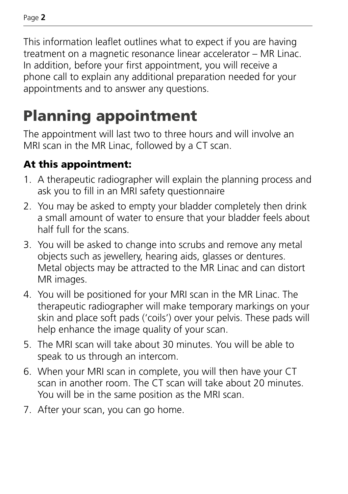This information leaflet outlines what to expect if you are having treatment on a magnetic resonance linear accelerator – MR Linac. In addition, before your first appointment, you will receive a phone call to explain any additional preparation needed for your appointments and to answer any questions.

## Planning appointment

The appointment will last two to three hours and will involve an MRI scan in the MR Linac, followed by a CT scan.

#### At this appointment:

- 1. A therapeutic radiographer will explain the planning process and ask you to fill in an MRI safety questionnaire
- 2. You may be asked to empty your bladder completely then drink a small amount of water to ensure that your bladder feels about half full for the scans.
- 3. You will be asked to change into scrubs and remove any metal objects such as jewellery, hearing aids, glasses or dentures. Metal objects may be attracted to the MR Linac and can distort MR images.
- 4. You will be positioned for your MRI scan in the MR Linac. The therapeutic radiographer will make temporary markings on your skin and place soft pads ('coils') over your pelvis. These pads will help enhance the image quality of your scan.
- 5. The MRI scan will take about 30 minutes. You will be able to speak to us through an intercom.
- 6. When your MRI scan in complete, you will then have your CT scan in another room. The CT scan will take about 20 minutes. You will be in the same position as the MRI scan.
- 7. After your scan, you can go home.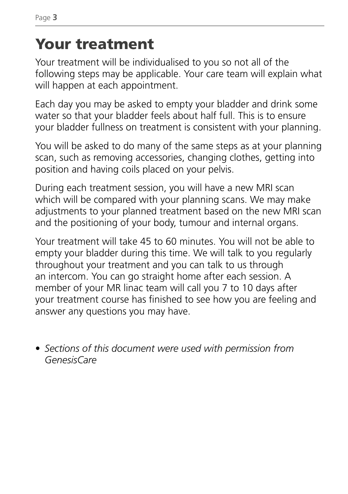### Your treatment

Your treatment will be individualised to you so not all of the following steps may be applicable. Your care team will explain what will happen at each appointment.

Each day you may be asked to empty your bladder and drink some water so that your bladder feels about half full. This is to ensure your bladder fullness on treatment is consistent with your planning.

You will be asked to do many of the same steps as at your planning scan, such as removing accessories, changing clothes, getting into position and having coils placed on your pelvis.

During each treatment session, you will have a new MRI scan which will be compared with your planning scans. We may make adjustments to your planned treatment based on the new MRI scan and the positioning of your body, tumour and internal organs.

Your treatment will take 45 to 60 minutes. You will not be able to empty your bladder during this time. We will talk to you regularly throughout your treatment and you can talk to us through an intercom. You can go straight home after each session. A member of your MR linac team will call you 7 to 10 days after your treatment course has finished to see how you are feeling and answer any questions you may have.

• *Sections of this document were used with permission from GenesisCare*